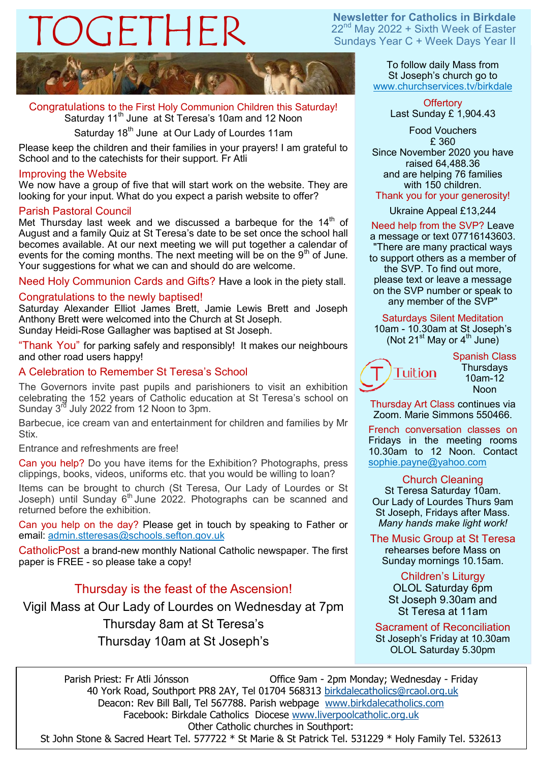# Newsletter for Catholics in Birkdale<br>22<sup>nd</sup> May 2022 + Sixth Week of Easter<br>Sundays Year C + Week Days Year II

**Newsletter for Catholics in Birkdale**<br> $22<sup>nd</sup>$  May 2022 + Sixth Week of Easter



Congratulations to the First Holy Communion Children this Saturday! Saturday 11<sup>th</sup> June at St Teresa's 10am and 12 Noon

Saturday 18<sup>th</sup> June at Our Lady of Lourdes 11am

Please keep the children and their families in your prayers! I am grateful to School and to the catechists for their support. Fr Atli

# Improving the Website

We now have a group of five that will start work on the website. They are looking for your input. What do you expect a parish website to offer?

# Parish Pastoral Council

Met Thursday last week and we discussed a barbeque for the  $14<sup>th</sup>$  of August and a family Quiz at St Teresa's date to be set once the school hall becomes available. At our next meeting we will put together a calendar of events for the coming months. The next meeting will be on the  $9<sup>th</sup>$  of June. Your suggestions for what we can and should do are welcome.

Need Holy Communion Cards and Gifts? Have a look in the piety stall.

# Congratulations to the newly baptised!

Saturday Alexander Elliot James Brett, Jamie Lewis Brett and Joseph Anthony Brett were welcomed into the Church at St Joseph. Sunday Heidi-Rose Gallagher was baptised at St Joseph.

"Thank You" for parking safely and responsibly! It makes our neighbours and other road users happy!

# A Celebration to Remember St Teresa's School

The Governors invite past pupils and parishioners to visit an exhibition celebrating the 152 years of Catholic education at St Teresa's school on Sunday 3<sup>rd</sup> July 2022 from 12 Noon to 3pm.

Barbecue, ice cream van and entertainment for children and families by Mr Stix.

Entrance and refreshments are free!

Can you help? Do you have items for the Exhibition? Photographs, press clippings, books, videos, uniforms etc. that you would be willing to loan?

Items can be brought to church (St Teresa, Our Lady of Lourdes or St Joseph) until Sunday 6<sup>th</sup> June 2022. Photographs can be scanned and returned before the exhibition.

Can you help on the day? Please get in touch by speaking to Father or email: admin.stteresas@schools.sefton.gov.uk

CatholicPost a brand-new monthly National Catholic newspaper. The first paper is FREE - so please take a copy!

# Thursday is the feast of the Ascension!

Vigil Mass at Our Lady of Lourdes on Wednesday at 7pm

Thursday 8am at St Teresa's

Thursday 10am at St Joseph's

To follow daily Mass from St Joseph's church go to www.churchservices.tv/birkdale

> **Offertory** Last Sunday £ 1,904.43

Food Vouchers £ 360 Since November 2020 you have raised 64,488.36 and are helping 76 families with 150 children. Thank you for your generosity!

Ukraine Appeal £13,244

Need help from the SVP? Leave a message or text 07716143603. "There are many practical ways to support others as a member of the SVP. To find out more, please text or leave a message on the SVP number or speak to any member of the SVP"

Saturdays Silent Meditation 10am - 10.30am at St Joseph's (Not  $21^{st}$  May or  $4^{th}$  June)



Spanish Class **Thursdays** 10am-12 Noon

Thursday Art Class continues via Zoom. Marie Simmons 550466.

French conversation classes on Fridays in the meeting rooms 10.30am to 12 Noon. Contact sophie.payne@yahoo.com

# Church Cleaning

St Teresa Saturday 10am. Our Lady of Lourdes Thurs 9am St Joseph, Fridays after Mass. *Many hands make light work!*

The Music Group at St Teresa rehearses before Mass on Sunday mornings 10.15am.

> Children's Liturgy OLOL Saturday 6pm St Joseph 9.30am and St Teresa at 11am

Sacrament of Reconciliation St Joseph's Friday at 10.30am OLOL Saturday 5.30pm

Parish Priest: Fr Atli Jónsson Office 9am - 2pm Monday; Wednesday - Friday 40 York Road, Southport PR8 2AY, Tel 01704 568313 [birkdalecatholics@rcaol.org.uk](mailto:birkdalecatholics@gmail.com) Deacon: Rev Bill Ball, Tel 567788. Parish webpage [www.birkdalecatholics.com](http://www.birkdalecatholics.com) Facebook: Birkdale Catholics Diocese [www.liverpoolcatholic.org.uk](http://www.liverpoolcatholic.org.uk) Other Catholic churches in Southport:

St John Stone & Sacred Heart Tel. 577722 \* St Marie & St Patrick Tel. 531229 \* Holy Family Tel. 532613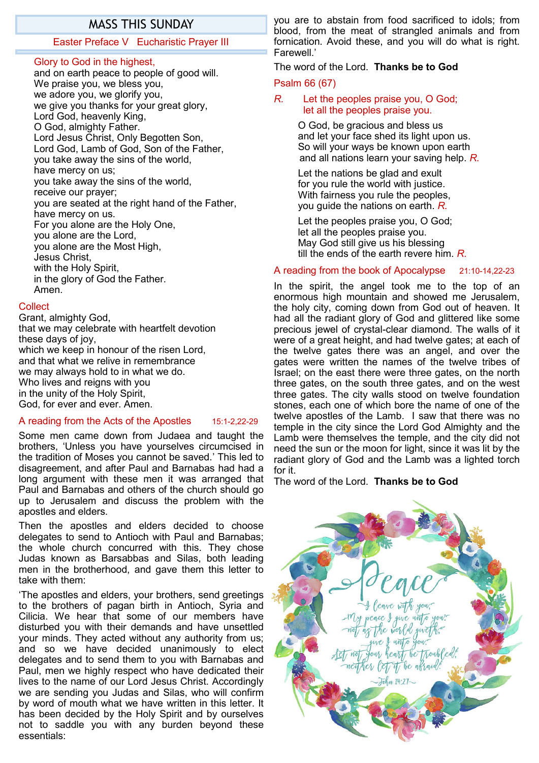# MASS THIS SUNDAY

# Easter Preface V Eucharistic Prayer III

#### Glory to God in the highest,

and on earth peace to people of good will. We praise you, we bless you, we adore you, we glorify you, we give you thanks for your great glory, Lord God, heavenly King, O God, almighty Father. Lord Jesus Christ, Only Begotten Son, Lord God, Lamb of God, Son of the Father, you take away the sins of the world, have mercy on us; you take away the sins of the world, receive our prayer; you are seated at the right hand of the Father, have mercy on us. For you alone are the Holy One, you alone are the Lord, you alone are the Most High, Jesus Christ, with the Holy Spirit, in the glory of God the Father. Amen.

#### **Collect**

Grant, almighty God, that we may celebrate with heartfelt devotion these days of joy, which we keep in honour of the risen Lord, and that what we relive in remembrance we may always hold to in what we do. Who lives and reigns with you in the unity of the Holy Spirit, God, for ever and ever. Amen.

#### A reading from the Acts of the Apostles 15:1-2,22-29

Some men came down from Judaea and taught the brothers, 'Unless you have yourselves circumcised in the tradition of Moses you cannot be saved.' This led to disagreement, and after Paul and Barnabas had had a long argument with these men it was arranged that Paul and Barnabas and others of the church should go up to Jerusalem and discuss the problem with the apostles and elders.

Then the apostles and elders decided to choose delegates to send to Antioch with Paul and Barnabas; the whole church concurred with this. They chose Judas known as Barsabbas and Silas, both leading men in the brotherhood, and gave them this letter to take with them:

'The apostles and elders, your brothers, send greetings to the brothers of pagan birth in Antioch, Syria and Cilicia. We hear that some of our members have disturbed you with their demands and have unsettled your minds. They acted without any authority from us; and so we have decided unanimously to elect delegates and to send them to you with Barnabas and Paul, men we highly respect who have dedicated their lives to the name of our Lord Jesus Christ. Accordingly we are sending you Judas and Silas, who will confirm by word of mouth what we have written in this letter. It has been decided by the Holy Spirit and by ourselves not to saddle you with any burden beyond these essentials:

you are to abstain from food sacrificed to idols; from blood, from the meat of strangled animals and from fornication. Avoid these, and you will do what is right. Farewell.'

#### The word of the Lord. **Thanks be to God**

#### Psalm 66 (67)

*R.* Let the peoples praise you, O God; let all the peoples praise you.

> O God, be gracious and bless us and let your face shed its light upon us. So will your ways be known upon earth and all nations learn your saving help. *R.*

Let the nations be glad and exult for you rule the world with justice. With fairness you rule the peoples, you guide the nations on earth. *R.*

Let the peoples praise you, O God; let all the peoples praise you. May God still give us his blessing till the ends of the earth revere him. *R.*

#### A reading from the book of Apocalypse 21:10-14,22-23

In the spirit, the angel took me to the top of an enormous high mountain and showed me Jerusalem, the holy city, coming down from God out of heaven. It had all the radiant glory of God and glittered like some precious jewel of crystal-clear diamond. The walls of it were of a great height, and had twelve gates; at each of the twelve gates there was an angel, and over the gates were written the names of the twelve tribes of Israel; on the east there were three gates, on the north three gates, on the south three gates, and on the west three gates. The city walls stood on twelve foundation stones, each one of which bore the name of one of the twelve apostles of the Lamb. I saw that there was no temple in the city since the Lord God Almighty and the Lamb were themselves the temple, and the city did not need the sun or the moon for light, since it was lit by the radiant glory of God and the Lamb was a lighted torch for it.

The word of the Lord. **Thanks be to God**

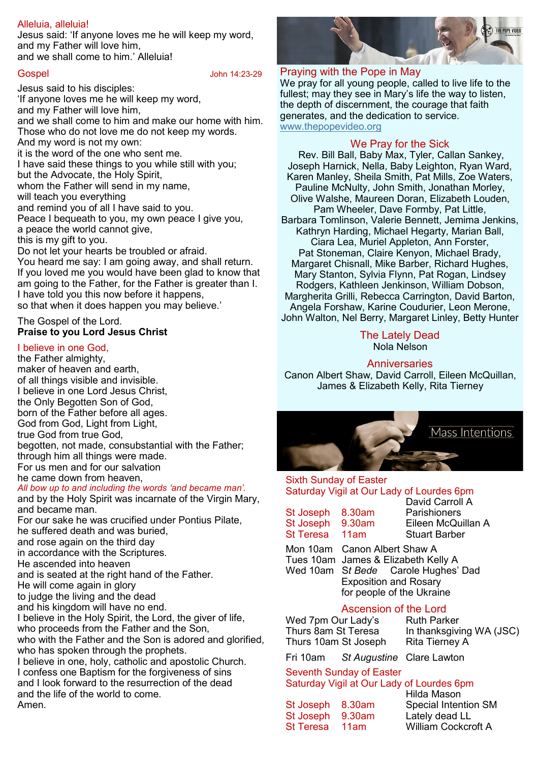#### Alleluia, alleluia!

Jesus said: 'If anyone loves me he will keep my word, and my Father will love him, and we shall come to him.' Alleluia!

Gospel John 14:23-29

Jesus said to his disciples: 'If anyone loves me he will keep my word,

and my Father will love him,

and we shall come to him and make our home with him. Those who do not love me do not keep my words.

And my word is not my own:

it is the word of the one who sent me.

I have said these things to you while still with you;

but the Advocate, the Holy Spirit,

whom the Father will send in my name,

will teach you everything

and remind you of all I have said to you.

Peace I bequeath to you, my own peace I give you, a peace the world cannot give,

this is my gift to you.

Do not let your hearts be troubled or afraid. You heard me say: I am going away, and shall return. If you loved me you would have been glad to know that am going to the Father, for the Father is greater than I. I have told you this now before it happens, so that when it does happen you may believe.'

The Gospel of the Lord. **Praise to you Lord Jesus Christ**

# I believe in one God,

the Father almighty, maker of heaven and earth, of all things visible and invisible. I believe in one Lord Jesus Christ, the Only Begotten Son of God, born of the Father before all ages. God from God, Light from Light, true God from true God, begotten, not made, consubstantial with the Father; through him all things were made. For us men and for our salvation he came down from heaven,

*All bow up to and including the words 'and became man'.*

and by the Holy Spirit was incarnate of the Virgin Mary, and became man.

For our sake he was crucified under Pontius Pilate, he suffered death and was buried,

and rose again on the third day

in accordance with the Scriptures.

He ascended into heaven

and is seated at the right hand of the Father.

He will come again in glory

to judge the living and the dead

and his kingdom will have no end.

I believe in the Holy Spirit, the Lord, the giver of life, who proceeds from the Father and the Son,

who with the Father and the Son is adored and glorified, who has spoken through the prophets.

I believe in one, holy, catholic and apostolic Church. I confess one Baptism for the forgiveness of sins and I look forward to the resurrection of the dead and the life of the world to come. Amen.



#### Praying with the Pope in May

We pray for all young people, called to live life to the fullest; may they see in Mary's life the way to listen, the depth of discernment, the courage that faith generates, and the dedication to service. www.thepopevideo.org

# We Pray for the Sick

Rev. Bill Ball, Baby Max, Tyler, Callan Sankey, Joseph Harnick, Nella, Baby Leighton, Ryan Ward, Karen Manley, Sheila Smith, Pat Mills, Zoe Waters, Pauline McNulty, John Smith, Jonathan Morley, Olive Walshe, Maureen Doran, Elizabeth Louden, Pam Wheeler, Dave Formby, Pat Little, Barbara Tomlinson, Valerie Bennett, Jemima Jenkins, Kathryn Harding, Michael Hegarty, Marian Ball, Ciara Lea, Muriel Appleton, Ann Forster, Pat Stoneman, Claire Kenyon, Michael Brady, Margaret Chisnall, Mike Barber, Richard Hughes, Mary Stanton, Sylvia Flynn, Pat Rogan, Lindsey Rodgers, Kathleen Jenkinson, William Dobson, Margherita Grilli, Rebecca Carrington, David Barton, Angela Forshaw, Karine Coudurier, Leon Merone, John Walton, Nel Berry, Margaret Linley, Betty Hunter

#### The Lately Dead Nola Nelson

**Anniversaries** Canon Albert Shaw, David Carroll, Eileen McQuillan, James & Elizabeth Kelly, Rita Tierney



# Sixth Sunday of Easter Saturday Vigil at Our Lady of Lourdes 6pm

| St Joseph | 8.30am |
|-----------|--------|
| St Joseph | 9.30am |
| St Teresa | 11am   |

David Carroll A **Parishioners** Eileen McQuillan A Stuart Barber

Mon 10am Canon Albert Shaw A Tues 10am James & Elizabeth Kelly A Wed 10am S*t Bede* Carole Hughes' Dad Exposition and Rosary for people of the Ukraine

# Ascension of the Lord

Wed 7pm Our Lady's Ruth Parker Thurs 8am St Teresa In thanksgiving WA (JSC) Thurs 10am St Joseph Rita Tierney A

Fri 10am *St Augustine* Clare Lawton

# Seventh Sunday of Easter

Saturday Vigil at Our Lady of Lourdes 6pm

| St Joseph | 8.30am |
|-----------|--------|
| St Joseph | 9.30am |
| St Teresa | 11am   |

Hilda Mason Special Intention SM Lately dead LL William Cockcroft A